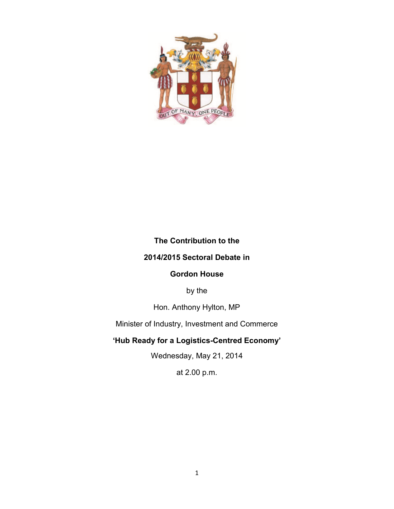

## **The Contribution to the**

## **2014/2015 Sectoral Debate in**

#### **Gordon House**

by the

Hon. Anthony Hylton, MP

Minister of Industry, Investment and Commerce

# **'Hub Ready for a Logistics-Centred Economy'**

Wednesday, May 21, 2014

at 2.00 p.m.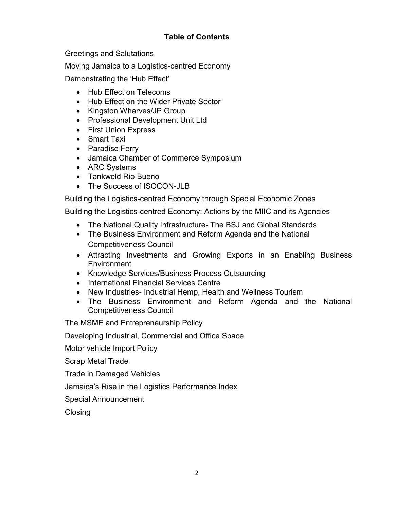# **Table of Contents**

Greetings and Salutations

Moving Jamaica to a Logistics-centred Economy

Demonstrating the 'Hub Effect'

- Hub Effect on Telecoms
- Hub Effect on the Wider Private Sector
- Kingston Wharves/JP Group
- Professional Development Unit Ltd
- First Union Express
- Smart Taxi
- Paradise Ferry
- Jamaica Chamber of Commerce Symposium
- ARC Systems
- Tankweld Rio Bueno
- The Success of ISOCON-JLB

Building the Logistics-centred Economy through Special Economic Zones

Building the Logistics-centred Economy: Actions by the MIIC and its Agencies

- The National Quality Infrastructure- The BSJ and Global Standards
- The Business Environment and Reform Agenda and the National Competitiveness Council
- Attracting Investments and Growing Exports in an Enabling Business **Environment**
- Knowledge Services/Business Process Outsourcing
- International Financial Services Centre
- New Industries- Industrial Hemp, Health and Wellness Tourism
- The Business Environment and Reform Agenda and the National Competitiveness Council

The MSME and Entrepreneurship Policy

Developing Industrial, Commercial and Office Space

Motor vehicle Import Policy

Scrap Metal Trade

Trade in Damaged Vehicles

Jamaica's Rise in the Logistics Performance Index

Special Announcement

**Closing**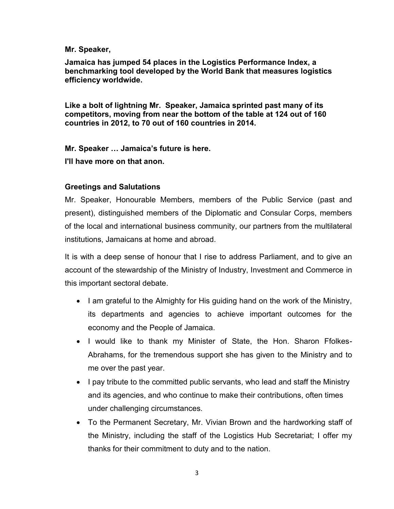#### **Mr. Speaker,**

**Jamaica has jumped 54 places in the Logistics Performance Index, a benchmarking tool developed by the World Bank that measures logistics efficiency worldwide.**

**Like a bolt of lightning Mr. Speaker, Jamaica sprinted past many of its competitors, moving from near the bottom of the table at 124 out of 160 countries in 2012, to 70 out of 160 countries in 2014.**

**Mr. Speaker … Jamaica's future is here.**

**I'll have more on that anon.**

## **Greetings and Salutations**

Mr. Speaker, Honourable Members, members of the Public Service (past and present), distinguished members of the Diplomatic and Consular Corps, members of the local and international business community, our partners from the multilateral institutions, Jamaicans at home and abroad.

It is with a deep sense of honour that I rise to address Parliament, and to give an account of the stewardship of the Ministry of Industry, Investment and Commerce in this important sectoral debate.

- I am grateful to the Almighty for His guiding hand on the work of the Ministry, its departments and agencies to achieve important outcomes for the economy and the People of Jamaica.
- I would like to thank my Minister of State, the Hon. Sharon Ffolkes-Abrahams, for the tremendous support she has given to the Ministry and to me over the past year.
- I pay tribute to the committed public servants, who lead and staff the Ministry and its agencies, and who continue to make their contributions, often times under challenging circumstances.
- To the Permanent Secretary, Mr. Vivian Brown and the hardworking staff of the Ministry, including the staff of the Logistics Hub Secretariat; I offer my thanks for their commitment to duty and to the nation.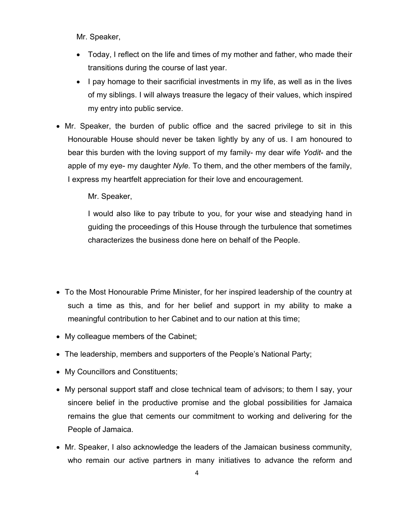Mr. Speaker,

- Today, I reflect on the life and times of my mother and father, who made their transitions during the course of last year.
- I pay homage to their sacrificial investments in my life, as well as in the lives of my siblings. I will always treasure the legacy of their values, which inspired my entry into public service.
- Mr. Speaker, the burden of public office and the sacred privilege to sit in this Honourable House should never be taken lightly by any of us. I am honoured to bear this burden with the loving support of my family- my dear wife *Yodit*- and the apple of my eye- my daughter *Nyle.* To them, and the other members of the family, I express my heartfelt appreciation for their love and encouragement.

Mr. Speaker,

I would also like to pay tribute to you, for your wise and steadying hand in guiding the proceedings of this House through the turbulence that sometimes characterizes the business done here on behalf of the People.

- To the Most Honourable Prime Minister, for her inspired leadership of the country at such a time as this, and for her belief and support in my ability to make a meaningful contribution to her Cabinet and to our nation at this time;
- My colleague members of the Cabinet;
- The leadership, members and supporters of the People's National Party;
- My Councillors and Constituents;
- My personal support staff and close technical team of advisors; to them I say, your sincere belief in the productive promise and the global possibilities for Jamaica remains the glue that cements our commitment to working and delivering for the People of Jamaica.
- Mr. Speaker, I also acknowledge the leaders of the Jamaican business community, who remain our active partners in many initiatives to advance the reform and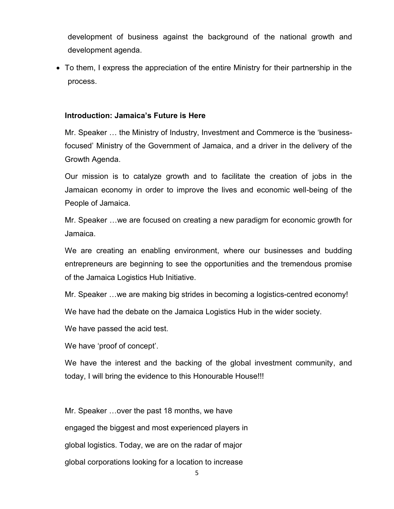development of business against the background of the national growth and development agenda.

 To them, I express the appreciation of the entire Ministry for their partnership in the process.

#### **Introduction: Jamaica's Future is Here**

Mr. Speaker … the Ministry of Industry, Investment and Commerce is the 'businessfocused' Ministry of the Government of Jamaica, and a driver in the delivery of the Growth Agenda.

Our mission is to catalyze growth and to facilitate the creation of jobs in the Jamaican economy in order to improve the lives and economic well-being of the People of Jamaica.

Mr. Speaker …we are focused on creating a new paradigm for economic growth for Jamaica.

We are creating an enabling environment, where our businesses and budding entrepreneurs are beginning to see the opportunities and the tremendous promise of the Jamaica Logistics Hub Initiative.

Mr. Speaker …we are making big strides in becoming a logistics-centred economy!

We have had the debate on the Jamaica Logistics Hub in the wider society.

We have passed the acid test.

We have 'proof of concept'.

We have the interest and the backing of the global investment community, and today, I will bring the evidence to this Honourable House!!!

Mr. Speaker …over the past 18 months, we have engaged the biggest and most experienced players in global logistics. Today, we are on the radar of major global corporations looking for a location to increase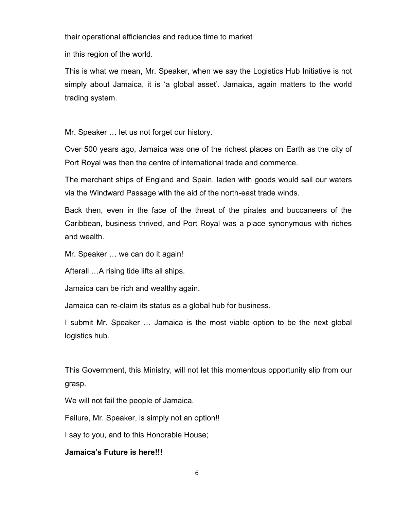their operational efficiencies and reduce time to market

in this region of the world.

This is what we mean, Mr. Speaker, when we say the Logistics Hub Initiative is not simply about Jamaica, it is 'a global asset'. Jamaica, again matters to the world trading system.

Mr. Speaker … let us not forget our history.

Over 500 years ago, Jamaica was one of the richest places on Earth as the city of Port Royal was then the centre of international trade and commerce.

The merchant ships of England and Spain, laden with goods would sail our waters via the Windward Passage with the aid of the north-east trade winds.

Back then, even in the face of the threat of the pirates and buccaneers of the Caribbean, business thrived, and Port Royal was a place synonymous with riches and wealth.

Mr. Speaker … we can do it again!

Afterall …A rising tide lifts all ships.

Jamaica can be rich and wealthy again.

Jamaica can re-claim its status as a global hub for business.

I submit Mr. Speaker … Jamaica is the most viable option to be the next global logistics hub.

This Government, this Ministry, will not let this momentous opportunity slip from our grasp.

We will not fail the people of Jamaica.

Failure, Mr. Speaker, is simply not an option!!

I say to you, and to this Honorable House;

#### **Jamaica's Future is here!!!**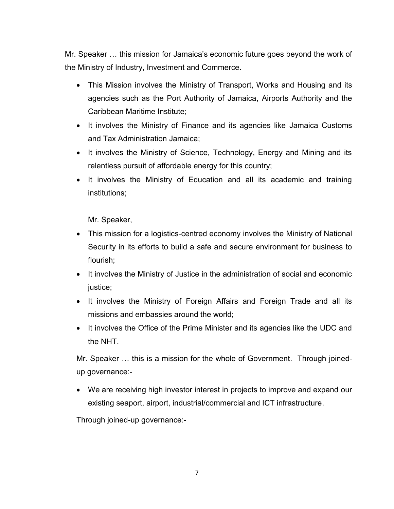Mr. Speaker … this mission for Jamaica's economic future goes beyond the work of the Ministry of Industry, Investment and Commerce.

- This Mission involves the Ministry of Transport, Works and Housing and its agencies such as the Port Authority of Jamaica, Airports Authority and the Caribbean Maritime Institute;
- It involves the Ministry of Finance and its agencies like Jamaica Customs and Tax Administration Jamaica;
- It involves the Ministry of Science, Technology, Energy and Mining and its relentless pursuit of affordable energy for this country;
- It involves the Ministry of Education and all its academic and training institutions;

Mr. Speaker,

- This mission for a logistics-centred economy involves the Ministry of National Security in its efforts to build a safe and secure environment for business to flourish;
- It involves the Ministry of Justice in the administration of social and economic justice;
- It involves the Ministry of Foreign Affairs and Foreign Trade and all its missions and embassies around the world;
- It involves the Office of the Prime Minister and its agencies like the UDC and the NHT.

Mr. Speaker … this is a mission for the whole of Government. Through joinedup governance:-

 We are receiving high investor interest in projects to improve and expand our existing seaport, airport, industrial/commercial and ICT infrastructure.

Through joined-up governance:-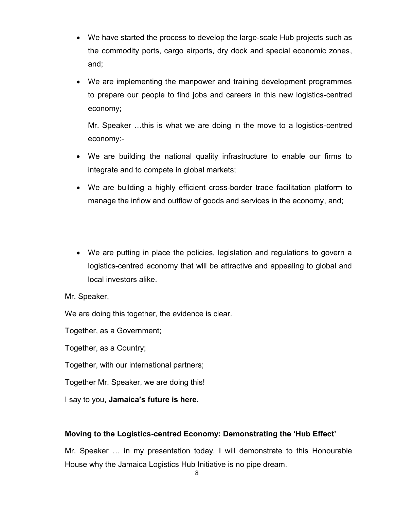- We have started the process to develop the large-scale Hub projects such as the commodity ports, cargo airports, dry dock and special economic zones, and;
- We are implementing the manpower and training development programmes to prepare our people to find jobs and careers in this new logistics-centred economy;

Mr. Speaker …this is what we are doing in the move to a logistics-centred economy:-

- We are building the national quality infrastructure to enable our firms to integrate and to compete in global markets;
- We are building a highly efficient cross-border trade facilitation platform to manage the inflow and outflow of goods and services in the economy, and;
- We are putting in place the policies, legislation and regulations to govern a logistics-centred economy that will be attractive and appealing to global and local investors alike.

Mr. Speaker,

We are doing this together, the evidence is clear.

Together, as a Government;

Together, as a Country;

Together, with our international partners;

Together Mr. Speaker, we are doing this!

I say to you, **Jamaica's future is here.**

## **Moving to the Logistics-centred Economy: Demonstrating the 'Hub Effect'**

Mr. Speaker … in my presentation today, I will demonstrate to this Honourable House why the Jamaica Logistics Hub Initiative is no pipe dream.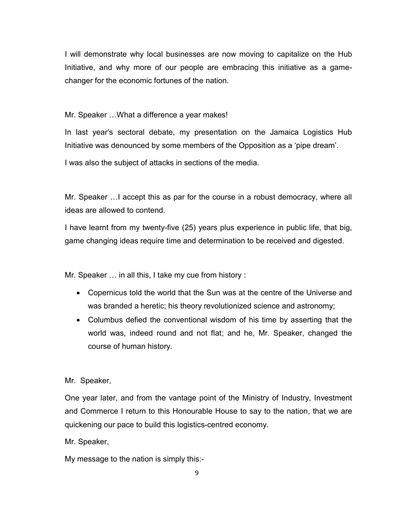I will demonstrate why local businesses are now moving to capitalize on the Hub Initiative, and why more of our people are embracing this initiative as a gamechanger for the economic fortunes of the nation.

Mr. Speaker …What a difference a year makes!

In last year's sectoral debate, my presentation on the Jamaica Logistics Hub Initiative was denounced by some members of the Opposition as a 'pipe dream'.

I was also the subject of attacks in sections of the media.

Mr. Speaker …I accept this as par for the course in a robust democracy, where all ideas are allowed to contend.

I have learnt from my twenty-five (25) years plus experience in public life, that big, game changing ideas require time and determination to be received and digested.

Mr. Speaker … in all this, I take my cue from history :

- Copernicus told the world that the Sun was at the centre of the Universe and was branded a heretic; his theory revolutionized science and astronomy;
- Columbus defied the conventional wisdom of his time by asserting that the world was, indeed round and not flat; and he, Mr. Speaker, changed the course of human history.

Mr. Speaker,

One year later, and from the vantage point of the Ministry of Industry, Investment and Commerce I return to this Honourable House to say to the nation, that we are quickening our pace to build this logistics-centred economy.

Mr. Speaker,

My message to the nation is simply this:-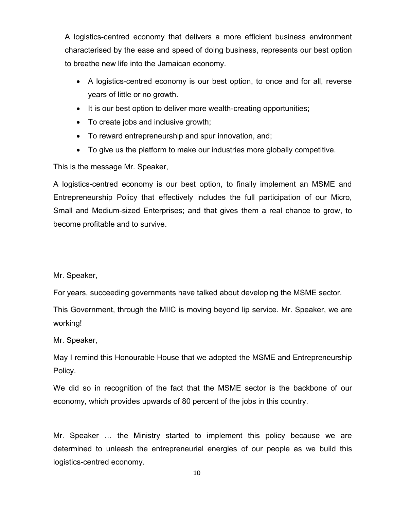A logistics-centred economy that delivers a more efficient business environment characterised by the ease and speed of doing business, represents our best option to breathe new life into the Jamaican economy.

- A logistics-centred economy is our best option, to once and for all, reverse years of little or no growth.
- It is our best option to deliver more wealth-creating opportunities;
- To create jobs and inclusive growth;
- To reward entrepreneurship and spur innovation, and;
- To give us the platform to make our industries more globally competitive.

This is the message Mr. Speaker,

A logistics-centred economy is our best option, to finally implement an MSME and Entrepreneurship Policy that effectively includes the full participation of our Micro, Small and Medium-sized Enterprises; and that gives them a real chance to grow, to become profitable and to survive.

Mr. Speaker,

For years, succeeding governments have talked about developing the MSME sector.

This Government, through the MIIC is moving beyond lip service. Mr. Speaker, we are working!

Mr. Speaker,

May I remind this Honourable House that we adopted the MSME and Entrepreneurship Policy.

We did so in recognition of the fact that the MSME sector is the backbone of our economy, which provides upwards of 80 percent of the jobs in this country.

Mr. Speaker … the Ministry started to implement this policy because we are determined to unleash the entrepreneurial energies of our people as we build this logistics-centred economy.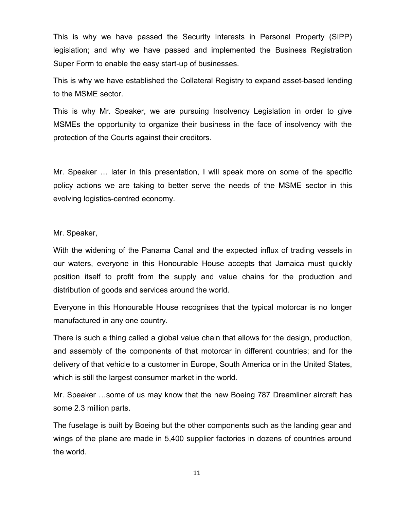This is why we have passed the Security Interests in Personal Property (SIPP) legislation; and why we have passed and implemented the Business Registration Super Form to enable the easy start-up of businesses.

This is why we have established the Collateral Registry to expand asset-based lending to the MSME sector.

This is why Mr. Speaker, we are pursuing Insolvency Legislation in order to give MSMEs the opportunity to organize their business in the face of insolvency with the protection of the Courts against their creditors.

Mr. Speaker … later in this presentation, I will speak more on some of the specific policy actions we are taking to better serve the needs of the MSME sector in this evolving logistics-centred economy.

Mr. Speaker,

With the widening of the Panama Canal and the expected influx of trading vessels in our waters, everyone in this Honourable House accepts that Jamaica must quickly position itself to profit from the supply and value chains for the production and distribution of goods and services around the world.

Everyone in this Honourable House recognises that the typical motorcar is no longer manufactured in any one country.

There is such a thing called a global value chain that allows for the design, production, and assembly of the components of that motorcar in different countries; and for the delivery of that vehicle to a customer in Europe, South America or in the United States, which is still the largest consumer market in the world.

Mr. Speaker …some of us may know that the new Boeing 787 Dreamliner aircraft has some 2.3 million parts.

The fuselage is built by Boeing but the other components such as the landing gear and wings of the plane are made in 5,400 supplier factories in dozens of countries around the world.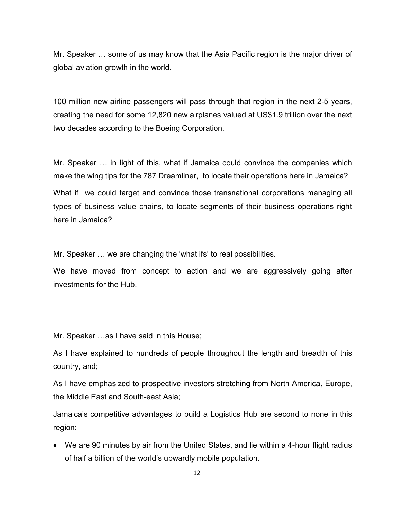Mr. Speaker … some of us may know that the Asia Pacific region is [the](http://www.youtube.com/watch?v=fgT9zGkiLig) major driver of global aviation growth in the world.

100 million new airline passengers will pass through that region in the next 2-5 years, creating the need for some 12,820 new airplanes valued at US\$1.9 trillion over the next two decades according to the Boeing Corporation.

Mr. Speaker … in light of this, what if Jamaica could convince the companies which make the wing tips for the 787 Dreamliner, to locate their operations here in Jamaica?

What if we could target and convince those transnational corporations managing all types of business value chains, to locate segments of their business operations right here in Jamaica?

Mr. Speaker … we are changing the 'what ifs' to real possibilities.

We have moved from concept to action and we are aggressively going after investments for the Hub.

Mr. Speaker …as I have said in this House;

As I have explained to hundreds of people throughout the length and breadth of this country, and;

As I have emphasized to prospective investors stretching from North America, Europe, the Middle East and South-east Asia;

Jamaica's competitive advantages to build a Logistics Hub are second to none in this region:

 We are 90 minutes by air from the United States, and lie within a 4-hour flight radius of half a billion of the world's upwardly mobile population.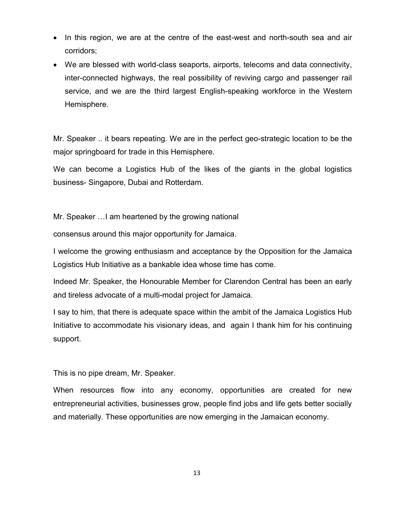- In this region, we are at the centre of the east-west and north-south sea and air corridors;
- We are blessed with world-class seaports, airports, telecoms and data connectivity, inter-connected highways, the real possibility of reviving cargo and passenger rail service, and we are the third largest English-speaking workforce in the Western Hemisphere.

Mr. Speaker .. it bears repeating. We are in the perfect geo-strategic location to be the major springboard for trade in this Hemisphere.

We can become a Logistics Hub of the likes of the giants in the global logistics business- Singapore, Dubai and Rotterdam.

Mr. Speaker …I am heartened by the growing national

consensus around this major opportunity for Jamaica.

I welcome the growing enthusiasm and acceptance by the Opposition for the Jamaica Logistics Hub Initiative as a bankable idea whose time has come.

Indeed Mr. Speaker, the Honourable Member for Clarendon Central has been an early and tireless advocate of a multi-modal project for Jamaica.

I say to him, that there is adequate space within the ambit of the Jamaica Logistics Hub Initiative to accommodate his visionary ideas, and again I thank him for his continuing support.

This is no pipe dream, Mr. Speaker.

When resources flow into any economy, opportunities are created for new entrepreneurial activities, businesses grow, people find jobs and life gets better socially and materially. These opportunities are now emerging in the Jamaican economy.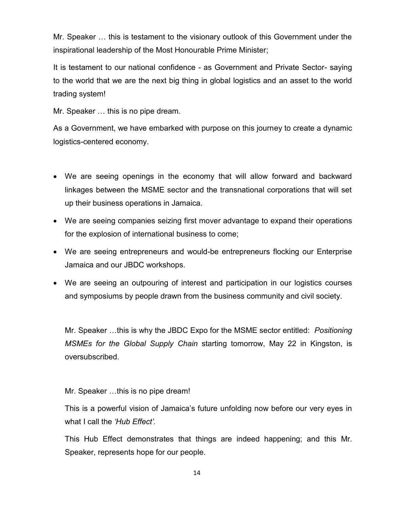Mr. Speaker … this is testament to the visionary outlook of this Government under the inspirational leadership of the Most Honourable Prime Minister;

It is testament to our national confidence - as Government and Private Sector- saying to the world that we are the next big thing in global logistics and an asset to the world trading system!

Mr. Speaker … this is no pipe dream.

As a Government, we have embarked with purpose on this journey to create a dynamic logistics-centered economy.

- We are seeing openings in the economy that will allow forward and backward linkages between the MSME sector and the transnational corporations that will set up their business operations in Jamaica.
- We are seeing companies seizing first mover advantage to expand their operations for the explosion of international business to come;
- We are seeing entrepreneurs and would-be entrepreneurs flocking our Enterprise Jamaica and our JBDC workshops.
- We are seeing an outpouring of interest and participation in our logistics courses and symposiums by people drawn from the business community and civil society.

Mr. Speaker …this is why the JBDC Expo for the MSME sector entitled: *Positioning MSMEs for the Global Supply Chain* starting tomorrow, May 22 in Kingston, is oversubscribed.

Mr. Speaker …this is no pipe dream!

This is a powerful vision of Jamaica's future unfolding now before our very eyes in what I call the *'Hub Effect'.*

This Hub Effect demonstrates that things are indeed happening; and this Mr. Speaker, represents hope for our people.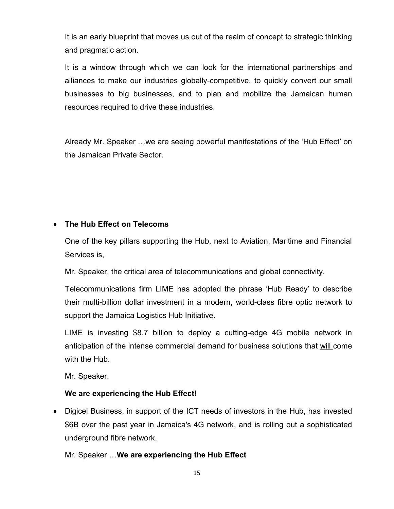It is an early blueprint that moves us out of the realm of concept to strategic thinking and pragmatic action.

It is a window through which we can look for the international partnerships and alliances to make our industries globally-competitive, to quickly convert our small businesses to big businesses, and to plan and mobilize the Jamaican human resources required to drive these industries.

Already Mr. Speaker …we are seeing powerful manifestations of the 'Hub Effect' on the Jamaican Private Sector.

# **The Hub Effect on Telecoms**

One of the key pillars supporting the Hub, next to Aviation, Maritime and Financial Services is,

Mr. Speaker, the critical area of telecommunications and global connectivity.

Telecommunications firm LIME has adopted the phrase 'Hub Ready' to describe their multi-billion dollar investment in a modern, world-class fibre optic network to support the Jamaica Logistics Hub Initiative.

LIME is investing \$8.7 billion to deploy a cutting-edge 4G mobile network in anticipation of the intense commercial demand for business solutions that will come with the Hub.

Mr. Speaker,

## **We are experiencing the Hub Effect!**

 Digicel Business, in support of the ICT needs of investors in the Hub, has invested \$6B over the past year in Jamaica's 4G network, and is rolling out a sophisticated underground fibre network.

Mr. Speaker …**We are experiencing the Hub Effect**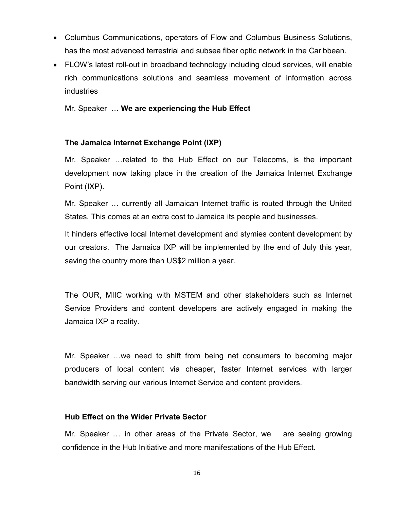- Columbus Communications, operators of Flow and Columbus Business Solutions, has the most advanced terrestrial and subsea fiber optic network in the Caribbean.
- FLOW's latest roll-out in broadband technology including cloud services, will enable rich communications solutions and seamless movement of information across industries

Mr. Speaker … **We are experiencing the Hub Effect** 

## **The Jamaica Internet Exchange Point (IXP)**

Mr. Speaker …related to the Hub Effect on our Telecoms, is the important development now taking place in the creation of the Jamaica Internet Exchange Point (IXP).

Mr. Speaker … currently all Jamaican Internet traffic is routed through the United States. This comes at an extra cost to Jamaica its people and businesses.

It hinders effective local Internet development and stymies content development by our creators. The Jamaica IXP will be implemented by the end of July this year, saving the country more than US\$2 million a year.

The OUR, MIIC working with MSTEM and other stakeholders such as Internet Service Providers and content developers are actively engaged in making the Jamaica IXP a reality.

Mr. Speaker …we need to shift from being net consumers to becoming major producers of local content via cheaper, faster Internet services with larger bandwidth serving our various Internet Service and content providers.

#### **Hub Effect on the Wider Private Sector**

Mr. Speaker … in other areas of the Private Sector, we are seeing growing confidence in the Hub Initiative and more manifestations of the Hub Effect.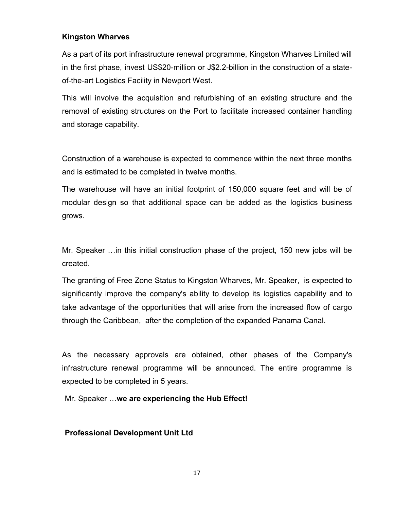## **Kingston Wharves**

As a part of its port infrastructure renewal programme, Kingston Wharves Limited will in the first phase, invest US\$20-million or J\$2.2-billion in the construction of a stateof-the-art Logistics Facility in Newport West.

This will involve the acquisition and refurbishing of an existing structure and the removal of existing structures on the Port to facilitate increased container handling and storage capability.

Construction of a warehouse is expected to commence within the next three months and is estimated to be completed in twelve months.

The warehouse will have an initial footprint of 150,000 square feet and will be of modular design so that additional space can be added as the logistics business grows.

Mr. Speaker …in this initial construction phase of the project, 150 new jobs will be created.

The granting of Free Zone Status to Kingston Wharves, Mr. Speaker, is expected to significantly improve the company's ability to develop its logistics capability and to take advantage of the opportunities that will arise from the increased flow of cargo through the Caribbean, after the completion of the expanded Panama Canal.

As the necessary approvals are obtained, other phases of the Company's infrastructure renewal programme will be announced. The entire programme is expected to be completed in 5 years.

Mr. Speaker …**we are experiencing the Hub Effect!**

## **Professional Development Unit Ltd**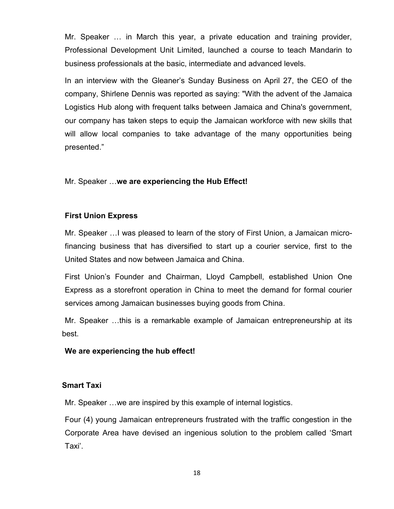Mr. Speaker … in March this year, a private education and training provider, Professional Development Unit Limited, launched a course to teach Mandarin to business professionals at the basic, intermediate and advanced levels.

In an interview with the Gleaner's Sunday Business on April 27, the CEO of the company, Shirlene Dennis was reported as saying: "With the advent of the Jamaica Logistics Hub along with frequent talks between Jamaica and China's government, our company has taken steps to equip the Jamaican workforce with new skills that will allow local companies to take advantage of the many opportunities being presented."

Mr. Speaker …**we are experiencing the Hub Effect!**

## **First Union Express**

Mr. Speaker …I was pleased to learn of the story of First Union, a Jamaican microfinancing business that has diversified to start up a courier service, first to the United States and now between Jamaica and China.

First Union's Founder and Chairman, Lloyd Campbell, established Union One Express as a storefront operation in China to meet the demand for formal courier services among Jamaican businesses buying goods from China.

Mr. Speaker …this is a remarkable example of Jamaican entrepreneurship at its best.

#### **We are experiencing the hub effect!**

#### **Smart Taxi**

Mr. Speaker …we are inspired by this example of internal logistics.

Four (4) young Jamaican entrepreneurs frustrated with the traffic congestion in the Corporate Area have devised an ingenious solution to the problem called 'Smart Taxi'.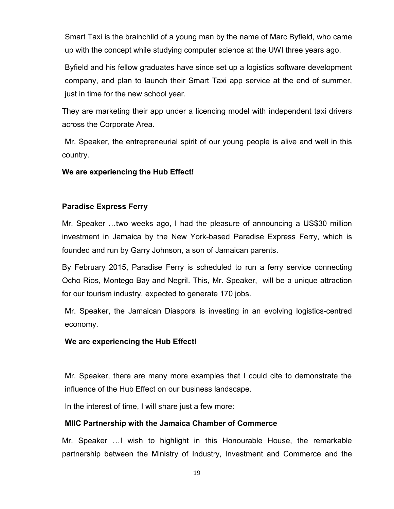Smart Taxi is the brainchild of a young man by the name of Marc Byfield, who came up with the concept while studying computer science at the UWI three years ago.

Byfield and his fellow graduates have since set up a logistics software development company, and plan to launch their Smart Taxi app service at the end of summer, just in time for the new school year.

They are marketing their app under a licencing model with independent taxi drivers across the Corporate Area.

Mr. Speaker, the entrepreneurial spirit of our young people is alive and well in this country.

#### **We are experiencing the Hub Effect!**

#### **Paradise Express Ferry**

Mr. Speaker …two weeks ago, I had the pleasure of announcing a US\$30 million investment in Jamaica by the New York-based Paradise Express Ferry, which is founded and run by Garry Johnson, a son of Jamaican parents.

By February 2015, Paradise Ferry is scheduled to run a ferry service connecting Ocho Rios, Montego Bay and Negril. This, Mr. Speaker, will be a unique attraction for our tourism industry, expected to generate 170 jobs.

Mr. Speaker, the Jamaican Diaspora is investing in an evolving logistics-centred economy.

#### **We are experiencing the Hub Effect!**

Mr. Speaker, there are many more examples that I could cite to demonstrate the influence of the Hub Effect on our business landscape.

In the interest of time, I will share just a few more:

#### **MIIC Partnership with the Jamaica Chamber of Commerce**

Mr. Speaker …I wish to highlight in this Honourable House, the remarkable partnership between the Ministry of Industry, Investment and Commerce and the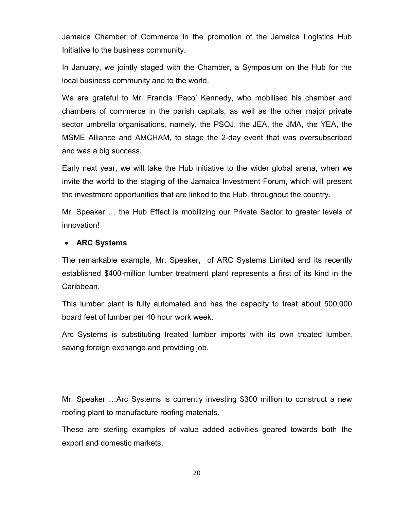Jamaica Chamber of Commerce in the promotion of the Jamaica Logistics Hub Initiative to the business community.

In January, we jointly staged with the Chamber, a Symposium on the Hub for the local business community and to the world.

We are grateful to Mr. Francis 'Paco' Kennedy, who mobilised his chamber and chambers of commerce in the parish capitals, as well as the other major private sector umbrella organisations, namely, the PSOJ, the JEA, the JMA, the YEA, the MSME Alliance and AMCHAM, to stage the 2-day event that was oversubscribed and was a big success.

Early next year, we will take the Hub initiative to the wider global arena, when we invite the world to the staging of the Jamaica Investment Forum, which will present the investment opportunities that are linked to the Hub, throughout the country.

Mr. Speaker … the Hub Effect is mobilizing our Private Sector to greater levels of innovation!

## **ARC Systems**

The remarkable example, Mr. Speaker, of ARC Systems Limited and its recently established \$400-million lumber treatment plant represents a first of its kind in the Caribbean.

This lumber plant is fully automated and has the capacity to treat about 500,000 board feet of lumber per 40 hour work week.

Arc Systems is substituting treated lumber imports with its own treated lumber, saving foreign exchange and providing job.

Mr. Speaker …Arc Systems is currently investing \$300 million to construct a new roofing plant to manufacture roofing materials.

These are sterling examples of value added activities geared towards both the export and domestic markets.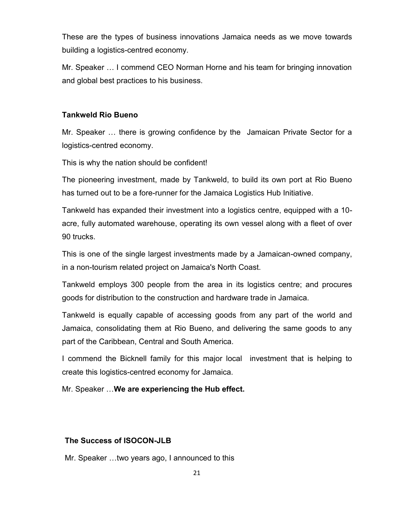These are the types of business innovations Jamaica needs as we move towards building a logistics-centred economy.

Mr. Speaker … I commend CEO Norman Horne and his team for bringing innovation and global best practices to his business.

## **Tankweld Rio Bueno**

Mr. Speaker … there is growing confidence by the Jamaican Private Sector for a logistics-centred economy.

This is why the nation should be confident!

The pioneering investment, made by Tankweld, to build its own port at Rio Bueno has turned out to be a fore-runner for the Jamaica Logistics Hub Initiative.

Tankweld has expanded their investment into a logistics centre, equipped with a 10 acre, fully automated warehouse, operating its own vessel along with a fleet of over 90 trucks.

This is one of the single largest investments made by a Jamaican-owned company, in a non-tourism related project on Jamaica's North Coast.

Tankweld employs 300 people from the area in its logistics centre; and procures goods for distribution to the construction and hardware trade in Jamaica.

Tankweld is equally capable of accessing goods from any part of the world and Jamaica, consolidating them at Rio Bueno, and delivering the same goods to any part of the Caribbean, Central and South America.

I commend the Bicknell family for this major local investment that is helping to create this logistics-centred economy for Jamaica.

Mr. Speaker …**We are experiencing the Hub effect.**

## **The Success of ISOCON-JLB**

Mr. Speaker …two years ago, I announced to this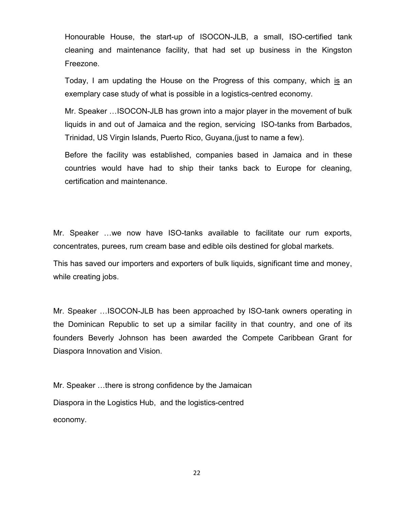Honourable House, the start-up of ISOCON-JLB, a small, ISO-certified tank cleaning and maintenance facility, that had set up business in the Kingston Freezone.

Today, I am updating the House on the Progress of this company, which is an exemplary case study of what is possible in a logistics-centred economy.

Mr. Speaker …ISOCON-JLB has grown into a major player in the movement of bulk liquids in and out of Jamaica and the region, servicing ISO-tanks from Barbados, Trinidad, US Virgin Islands, Puerto Rico, Guyana,(just to name a few).

Before the facility was established, companies based in Jamaica and in these countries would have had to ship their tanks back to Europe for cleaning, certification and maintenance.

Mr. Speaker …we now have ISO-tanks available to facilitate our rum exports, concentrates, purees, rum cream base and edible oils destined for global markets.

This has saved our importers and exporters of bulk liquids, significant time and money, while creating jobs.

Mr. Speaker …ISOCON-JLB has been approached by ISO-tank owners operating in the Dominican Republic to set up a similar facility in that country, and one of its founders Beverly Johnson has been awarded the Compete Caribbean Grant for Diaspora Innovation and Vision.

Mr. Speaker …there is strong confidence by the Jamaican Diaspora in the Logistics Hub, and the logistics-centred economy.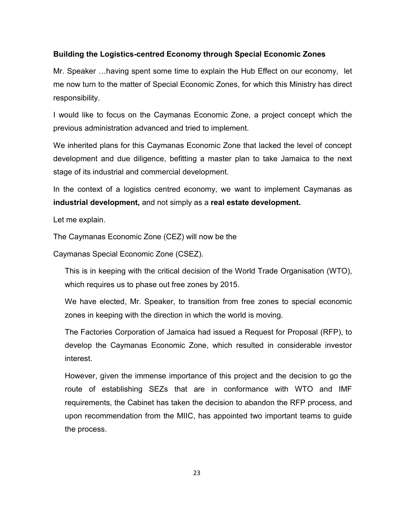## **Building the Logistics-centred Economy through Special Economic Zones**

Mr. Speaker …having spent some time to explain the Hub Effect on our economy, let me now turn to the matter of Special Economic Zones, for which this Ministry has direct responsibility.

I would like to focus on the Caymanas Economic Zone, a project concept which the previous administration advanced and tried to implement.

We inherited plans for this Caymanas Economic Zone that lacked the level of concept development and due diligence, befitting a master plan to take Jamaica to the next stage of its industrial and commercial development.

In the context of a logistics centred economy, we want to implement Caymanas as **industrial development,** and not simply as a **real estate development.**

Let me explain.

The Caymanas Economic Zone (CEZ) will now be the

Caymanas Special Economic Zone (CSEZ).

This is in keeping with the critical decision of the World Trade Organisation (WTO), which requires us to phase out free zones by 2015.

We have elected, Mr. Speaker, to transition from free zones to special economic zones in keeping with the direction in which the world is moving.

The Factories Corporation of Jamaica had issued a Request for Proposal (RFP), to develop the Caymanas Economic Zone, which resulted in considerable investor interest.

However, given the immense importance of this project and the decision to go the route of establishing SEZs that are in conformance with WTO and IMF requirements, the Cabinet has taken the decision to abandon the RFP process, and upon recommendation from the MIIC, has appointed two important teams to guide the process.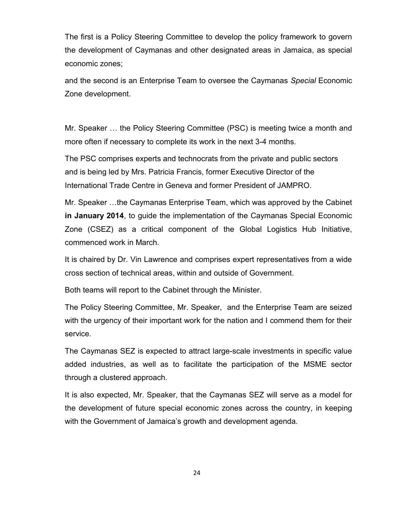The first is a Policy Steering Committee to develop the policy framework to govern the development of Caymanas and other designated areas in Jamaica, as special economic zones;

and the second is an Enterprise Team to oversee the Caymanas *Special* Economic Zone development.

Mr. Speaker … the Policy Steering Committee (PSC) is meeting twice a month and more often if necessary to complete its work in the next 3-4 months.

The PSC comprises experts and technocrats from the private and public sectors and is being led by Mrs. Patricia Francis, former Executive Director of the International Trade Centre in Geneva and former President of JAMPRO.

Mr. Speaker …the Caymanas Enterprise Team, which was approved by the Cabinet **in January 2014**, to guide the implementation of the Caymanas Special Economic Zone (CSEZ) as a critical component of the Global Logistics Hub Initiative, commenced work in March.

It is chaired by Dr. Vin Lawrence and comprises expert representatives from a wide cross section of technical areas, within and outside of Government.

Both teams will report to the Cabinet through the Minister.

The Policy Steering Committee, Mr. Speaker, and the Enterprise Team are seized with the urgency of their important work for the nation and I commend them for their service.

The Caymanas SEZ is expected to attract large-scale investments in specific value added industries, as well as to facilitate the participation of the MSME sector through a clustered approach.

It is also expected, Mr. Speaker, that the Caymanas SEZ will serve as a model for the development of future special economic zones across the country, in keeping with the Government of Jamaica's growth and development agenda.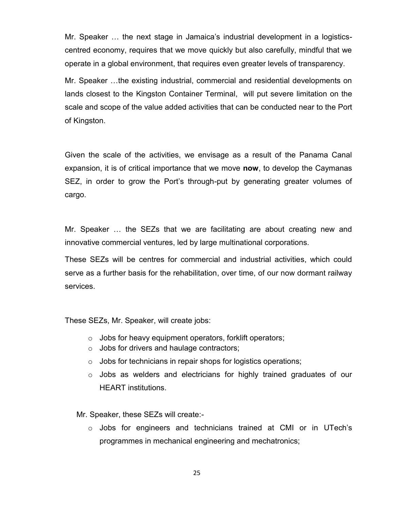Mr. Speaker … the next stage in Jamaica's industrial development in a logisticscentred economy, requires that we move quickly but also carefully, mindful that we operate in a global environment, that requires even greater levels of transparency.

Mr. Speaker …the existing industrial, commercial and residential developments on lands closest to the Kingston Container Terminal, will put severe limitation on the scale and scope of the value added activities that can be conducted near to the Port of Kingston.

Given the scale of the activities, we envisage as a result of the Panama Canal expansion, it is of critical importance that we move **now**, to develop the Caymanas SEZ, in order to grow the Port's through-put by generating greater volumes of cargo.

Mr. Speaker … the SEZs that we are facilitating are about creating new and innovative commercial ventures, led by large multinational corporations.

These SEZs will be centres for commercial and industrial activities, which could serve as a further basis for the rehabilitation, over time, of our now dormant railway services.

These SEZs, Mr. Speaker, will create jobs:

- o Jobs for heavy equipment operators, forklift operators;
- o Jobs for drivers and haulage contractors;
- $\circ$  Jobs for technicians in repair shops for logistics operations;
- o Jobs as welders and electricians for highly trained graduates of our HEART institutions.

Mr. Speaker, these SEZs will create:-

 $\circ$  Jobs for engineers and technicians trained at CMI or in UTech's programmes in mechanical engineering and mechatronics;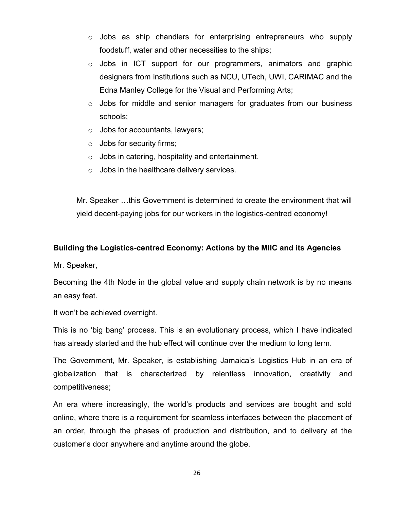- $\circ$  Jobs as ship chandlers for enterprising entrepreneurs who supply foodstuff, water and other necessities to the ships;
- o Jobs in ICT support for our programmers, animators and graphic designers from institutions such as NCU, UTech, UWI, CARIMAC and the Edna Manley College for the Visual and Performing Arts;
- $\circ$  Jobs for middle and senior managers for graduates from our business schools;
- $\circ$  Jobs for accountants, lawyers;
- o Jobs for security firms;
- $\circ$  Jobs in catering, hospitality and entertainment.
- $\circ$  Jobs in the healthcare delivery services.

Mr. Speaker …this Government is determined to create the environment that will yield decent-paying jobs for our workers in the logistics-centred economy!

## **Building the Logistics-centred Economy: Actions by the MIIC and its Agencies**

Mr. Speaker,

Becoming the 4th Node in the global value and supply chain network is by no means an easy feat.

It won't be achieved overnight.

This is no 'big bang' process. This is an evolutionary process, which I have indicated has already started and the hub effect will continue over the medium to long term.

The Government, Mr. Speaker, is establishing Jamaica's Logistics Hub in an era of globalization that is characterized by relentless innovation, creativity and competitiveness;

An era where increasingly, the world's products and services are bought and sold online, where there is a requirement for seamless interfaces between the placement of an order, through the phases of production and distribution, and to delivery at the customer's door anywhere and anytime around the globe.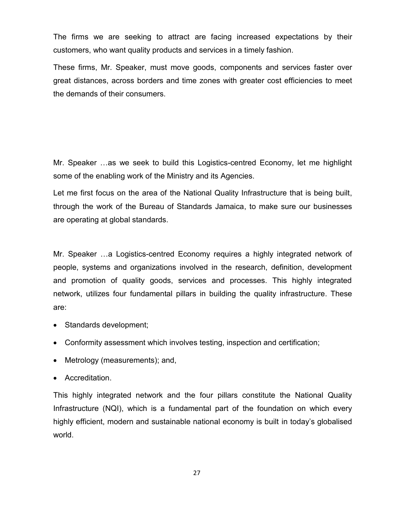The firms we are seeking to attract are facing increased expectations by their customers, who want quality products and services in a timely fashion.

These firms, Mr. Speaker, must move goods, components and services faster over great distances, across borders and time zones with greater cost efficiencies to meet the demands of their consumers.

Mr. Speaker …as we seek to build this Logistics-centred Economy, let me highlight some of the enabling work of the Ministry and its Agencies.

Let me first focus on the area of the National Quality Infrastructure that is being built, through the work of the Bureau of Standards Jamaica, to make sure our businesses are operating at global standards.

Mr. Speaker …a Logistics-centred Economy requires a highly integrated network of people, systems and organizations involved in the research, definition, development and promotion of quality goods, services and processes. This highly integrated network, utilizes four fundamental pillars in building the quality infrastructure. These are:

- Standards development;
- Conformity assessment which involves testing, inspection and certification;
- Metrology (measurements); and,
- Accreditation.

This highly integrated network and the four pillars constitute the National Quality Infrastructure (NQI), which is a fundamental part of the foundation on which every highly efficient, modern and sustainable national economy is built in today's globalised world.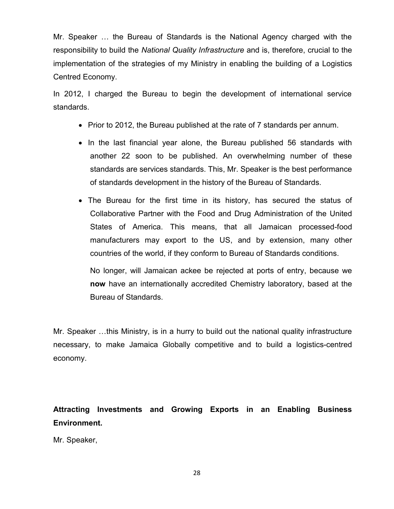Mr. Speaker … the Bureau of Standards is the National Agency charged with the responsibility to build the *National Quality Infrastructure* and is, therefore, crucial to the implementation of the strategies of my Ministry in enabling the building of a Logistics Centred Economy.

In 2012, I charged the Bureau to begin the development of international service standards.

- Prior to 2012, the Bureau published at the rate of 7 standards per annum.
- In the last financial year alone, the Bureau published 56 standards with another 22 soon to be published. An overwhelming number of these standards are services standards. This, Mr. Speaker is the best performance of standards development in the history of the Bureau of Standards.
- The Bureau for the first time in its history, has secured the status of Collaborative Partner with the Food and Drug Administration of the United States of America. This means, that all Jamaican processed-food manufacturers may export to the US, and by extension, many other countries of the world, if they conform to Bureau of Standards conditions.

No longer, will Jamaican ackee be rejected at ports of entry, because we **now** have an internationally accredited Chemistry laboratory, based at the Bureau of Standards.

Mr. Speaker …this Ministry, is in a hurry to build out the national quality infrastructure necessary, to make Jamaica Globally competitive and to build a logistics-centred economy.

**Attracting Investments and Growing Exports in an Enabling Business Environment.**

Mr. Speaker,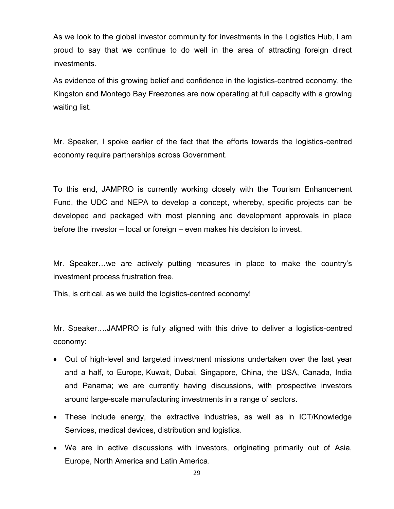As we look to the global investor community for investments in the Logistics Hub, I am proud to say that we continue to do well in the area of attracting foreign direct investments.

As evidence of this growing belief and confidence in the logistics-centred economy, the Kingston and Montego Bay Freezones are now operating at full capacity with a growing waiting list.

Mr. Speaker, I spoke earlier of the fact that the efforts towards the logistics-centred economy require partnerships across Government.

To this end, JAMPRO is currently working closely with the Tourism Enhancement Fund, the UDC and NEPA to develop a concept, whereby, specific projects can be developed and packaged with most planning and development approvals in place before the investor – local or foreign – even makes his decision to invest.

Mr. Speaker…we are actively putting measures in place to make the country's investment process frustration free.

This, is critical, as we build the logistics-centred economy!

Mr. Speaker….JAMPRO is fully aligned with this drive to deliver a logistics-centred economy:

- Out of high-level and targeted investment missions undertaken over the last year and a half, to Europe, Kuwait, Dubai, Singapore, China, the USA, Canada, India and Panama; we are currently having discussions, with prospective investors around large-scale manufacturing investments in a range of sectors.
- These include energy, the extractive industries, as well as in ICT/Knowledge Services, medical devices, distribution and logistics.
- We are in active discussions with investors, originating primarily out of Asia, Europe, North America and Latin America.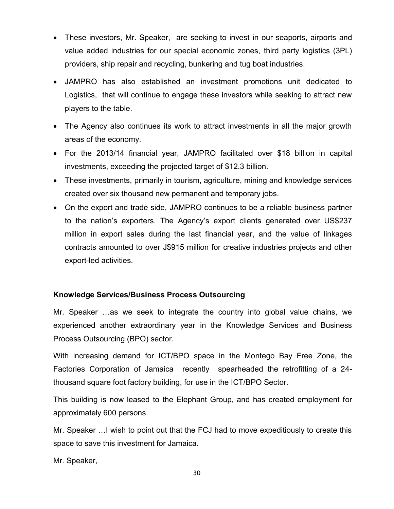- These investors, Mr. Speaker, are seeking to invest in our seaports, airports and value added industries for our special economic zones, third party logistics (3PL) providers, ship repair and recycling, bunkering and tug boat industries.
- JAMPRO has also established an investment promotions unit dedicated to Logistics, that will continue to engage these investors while seeking to attract new players to the table.
- The Agency also continues its work to attract investments in all the major growth areas of the economy.
- For the 2013/14 financial year, JAMPRO facilitated over \$18 billion in capital investments, exceeding the projected target of \$12.3 billion.
- These investments, primarily in tourism, agriculture, mining and knowledge services created over six thousand new permanent and temporary jobs.
- On the export and trade side, JAMPRO continues to be a reliable business partner to the nation's exporters. The Agency's export clients generated over US\$237 million in export sales during the last financial year, and the value of linkages contracts amounted to over J\$915 million for creative industries projects and other export-led activities.

## **Knowledge Services/Business Process Outsourcing**

Mr. Speaker …as we seek to integrate the country into global value chains, we experienced another extraordinary year in the Knowledge Services and Business Process Outsourcing (BPO) sector.

With increasing demand for ICT/BPO space in the Montego Bay Free Zone, the Factories Corporation of Jamaica recently spearheaded the retrofitting of a 24 thousand square foot factory building, for use in the ICT/BPO Sector.

This building is now leased to the Elephant Group, and has created employment for approximately 600 persons.

Mr. Speaker …I wish to point out that the FCJ had to move expeditiously to create this space to save this investment for Jamaica.

Mr. Speaker,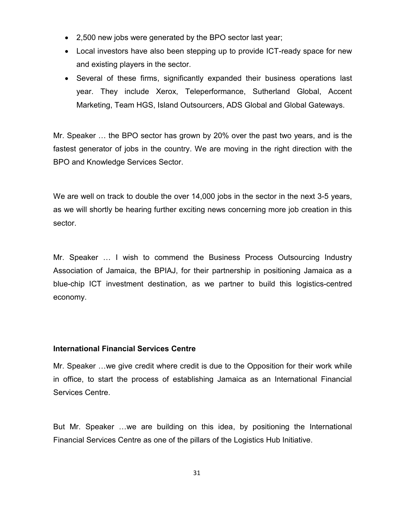- 2,500 new jobs were generated by the BPO sector last year;
- Local investors have also been stepping up to provide ICT-ready space for new and existing players in the sector.
- Several of these firms, significantly expanded their business operations last year. They include Xerox, Teleperformance, Sutherland Global, Accent Marketing, Team HGS, Island Outsourcers, ADS Global and Global Gateways.

Mr. Speaker … the BPO sector has grown by 20% over the past two years, and is the fastest generator of jobs in the country. We are moving in the right direction with the BPO and Knowledge Services Sector.

We are well on track to double the over 14,000 jobs in the sector in the next 3-5 years, as we will shortly be hearing further exciting news concerning more job creation in this sector.

Mr. Speaker … I wish to commend the Business Process Outsourcing Industry Association of Jamaica, the BPIAJ, for their partnership in positioning Jamaica as a blue-chip ICT investment destination, as we partner to build this logistics-centred economy.

#### **International Financial Services Centre**

Mr. Speaker …we give credit where credit is due to the Opposition for their work while in office, to start the process of establishing Jamaica as an International Financial Services Centre.

But Mr. Speaker …we are building on this idea, by positioning the International Financial Services Centre as one of the pillars of the Logistics Hub Initiative.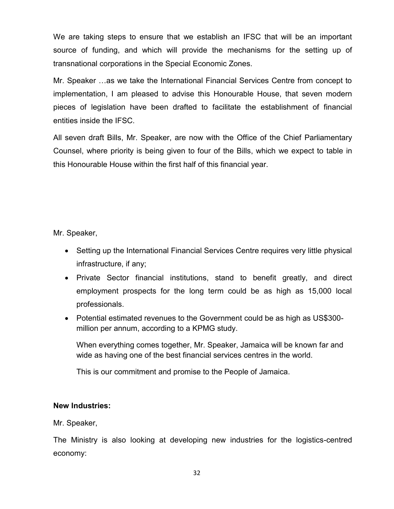We are taking steps to ensure that we establish an IFSC that will be an important source of funding, and which will provide the mechanisms for the setting up of transnational corporations in the Special Economic Zones.

Mr. Speaker …as we take the International Financial Services Centre from concept to implementation, I am pleased to advise this Honourable House, that seven modern pieces of legislation have been drafted to facilitate the establishment of financial entities inside the IFSC.

All seven draft Bills, Mr. Speaker, are now with the Office of the Chief Parliamentary Counsel, where priority is being given to four of the Bills, which we expect to table in this Honourable House within the first half of this financial year.

Mr. Speaker,

- Setting up the International Financial Services Centre requires very little physical infrastructure, if any;
- Private Sector financial institutions, stand to benefit greatly, and direct employment prospects for the long term could be as high as 15,000 local professionals.
- Potential estimated revenues to the Government could be as high as US\$300 million per annum, according to a KPMG study.

When everything comes together, Mr. Speaker, Jamaica will be known far and wide as having one of the best financial services centres in the world.

This is our commitment and promise to the People of Jamaica.

#### **New Industries:**

Mr. Speaker,

The Ministry is also looking at developing new industries for the logistics-centred economy: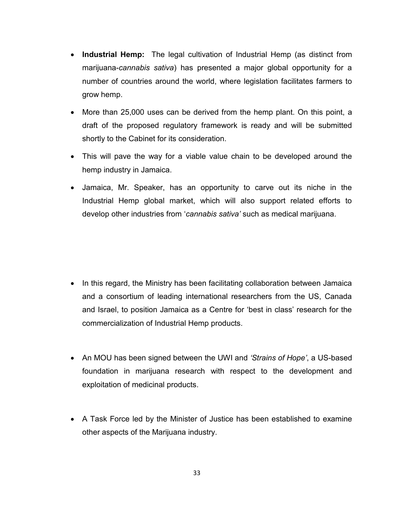- **Industrial Hemp:** The legal cultivation of Industrial Hemp (as distinct from marijuana-*cannabis sativa*) has presented a major global opportunity for a number of countries around the world, where legislation facilitates farmers to grow hemp.
- More than 25,000 uses can be derived from the hemp plant. On this point, a draft of the proposed regulatory framework is ready and will be submitted shortly to the Cabinet for its consideration.
- This will pave the way for a viable value chain to be developed around the hemp industry in Jamaica.
- Jamaica, Mr. Speaker, has an opportunity to carve out its niche in the Industrial Hemp global market, which will also support related efforts to develop other industries from '*cannabis sativa'* such as medical marijuana.

- In this regard, the Ministry has been facilitating collaboration between Jamaica and a consortium of leading international researchers from the US, Canada and Israel, to position Jamaica as a Centre for 'best in class' research for the commercialization of Industrial Hemp products.
- An MOU has been signed between the UWI and *'Strains of Hope'*, a US-based foundation in marijuana research with respect to the development and exploitation of medicinal products.
- A Task Force led by the Minister of Justice has been established to examine other aspects of the Marijuana industry.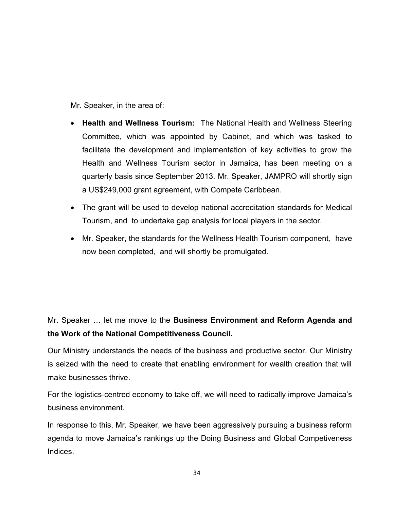Mr. Speaker, in the area of:

- **Health and Wellness Tourism:** The National Health and Wellness Steering Committee, which was appointed by Cabinet, and which was tasked to facilitate the development and implementation of key activities to grow the Health and Wellness Tourism sector in Jamaica, has been meeting on a quarterly basis since September 2013. Mr. Speaker, JAMPRO will shortly sign a US\$249,000 grant agreement, with Compete Caribbean.
- The grant will be used to develop national accreditation standards for Medical Tourism, and to undertake gap analysis for local players in the sector.
- Mr. Speaker, the standards for the Wellness Health Tourism component, have now been completed, and will shortly be promulgated.

# Mr. Speaker … let me move to the **Business Environment and Reform Agenda and the Work of the National Competitiveness Council.**

Our Ministry understands the needs of the business and productive sector. Our Ministry is seized with the need to create that enabling environment for wealth creation that will make businesses thrive.

For the logistics-centred economy to take off, we will need to radically improve Jamaica's business environment.

In response to this, Mr. Speaker, we have been aggressively pursuing a business reform agenda to move Jamaica's rankings up the Doing Business and Global Competiveness Indices.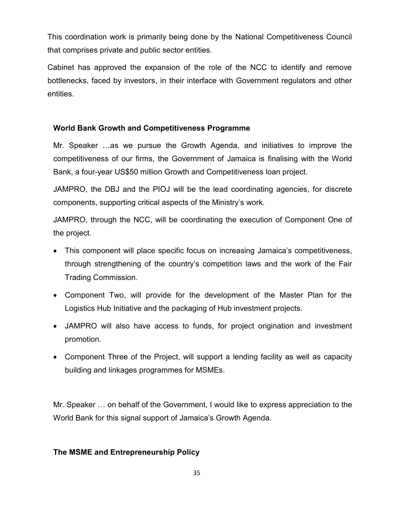This coordination work is primarily being done by the National Competitiveness Council that comprises private and public sector entities.

Cabinet has approved the expansion of the role of the NCC to identify and remove bottlenecks, faced by investors, in their interface with Government regulators and other entities.

## **World Bank Growth and Competitiveness Programme**

Mr. Speaker …as we pursue the Growth Agenda, and initiatives to improve the competitiveness of our firms, the Government of Jamaica is finalising with the World Bank, a four-year US\$50 million Growth and Competitiveness loan project.

JAMPRO, the DBJ and the PIOJ will be the lead coordinating agencies, for discrete components, supporting critical aspects of the Ministry's work.

JAMPRO, through the NCC, will be coordinating the execution of Component One of the project.

- This component will place specific focus on increasing Jamaica's competitiveness, through strengthening of the country's competition laws and the work of the Fair Trading Commission.
- Component Two, will provide for the development of the Master Plan for the Logistics Hub Initiative and the packaging of Hub investment projects.
- JAMPRO will also have access to funds, for project origination and investment promotion.
- Component Three of the Project, will support a lending facility as well as capacity building and linkages programmes for MSMEs.

Mr. Speaker … on behalf of the Government, I would like to express appreciation to the World Bank for this signal support of Jamaica's Growth Agenda.

## **The MSME and Entrepreneurship Policy**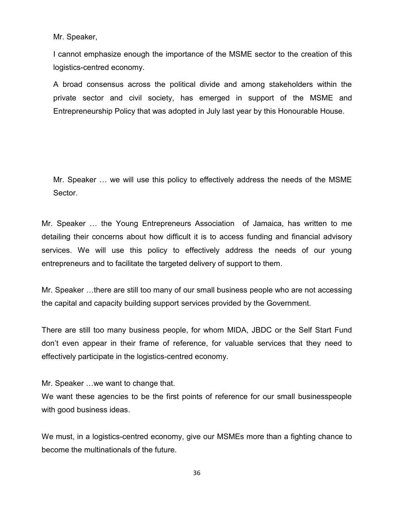Mr. Speaker,

I cannot emphasize enough the importance of the MSME sector to the creation of this logistics-centred economy.

A broad consensus across the political divide and among stakeholders within the private sector and civil society, has emerged in support of the MSME and Entrepreneurship Policy that was adopted in July last year by this Honourable House.

Mr. Speaker … we will use this policy to effectively address the needs of the MSME Sector.

Mr. Speaker … the Young Entrepreneurs Association of Jamaica, has written to me detailing their concerns about how difficult it is to access funding and financial advisory services. We will use this policy to effectively address the needs of our young entrepreneurs and to facilitate the targeted delivery of support to them.

Mr. Speaker …there are still too many of our small business people who are not accessing the capital and capacity building support services provided by the Government.

There are still too many business people, for whom MIDA, JBDC or the Self Start Fund don't even appear in their frame of reference, for valuable services that they need to effectively participate in the logistics-centred economy.

Mr. Speaker …we want to change that.

We want these agencies to be the first points of reference for our small businesspeople with good business ideas.

We must, in a logistics-centred economy, give our MSMEs more than a fighting chance to become the multinationals of the future.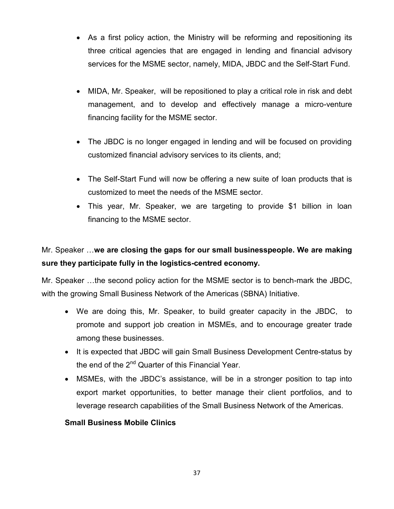- As a first policy action, the Ministry will be reforming and repositioning its three critical agencies that are engaged in lending and financial advisory services for the MSME sector, namely, MIDA, JBDC and the Self-Start Fund.
- MIDA, Mr. Speaker, will be repositioned to play a critical role in risk and debt management, and to develop and effectively manage a micro-venture financing facility for the MSME sector.
- The JBDC is no longer engaged in lending and will be focused on providing customized financial advisory services to its clients, and;
- The Self-Start Fund will now be offering a new suite of loan products that is customized to meet the needs of the MSME sector.
- This year, Mr. Speaker, we are targeting to provide \$1 billion in loan financing to the MSME sector.

# Mr. Speaker …**we are closing the gaps for our small businesspeople. We are making sure they participate fully in the logistics-centred economy.**

Mr. Speaker …the second policy action for the MSME sector is to bench-mark the JBDC, with the growing Small Business Network of the Americas (SBNA) Initiative.

- We are doing this, Mr. Speaker, to build greater capacity in the JBDC, to promote and support job creation in MSMEs, and to encourage greater trade among these businesses.
- It is expected that JBDC will gain Small Business Development Centre-status by the end of the 2<sup>nd</sup> Quarter of this Financial Year.
- MSMEs, with the JBDC's assistance, will be in a stronger position to tap into export market opportunities, to better manage their client portfolios, and to leverage research capabilities of the Small Business Network of the Americas.

## **Small Business Mobile Clinics**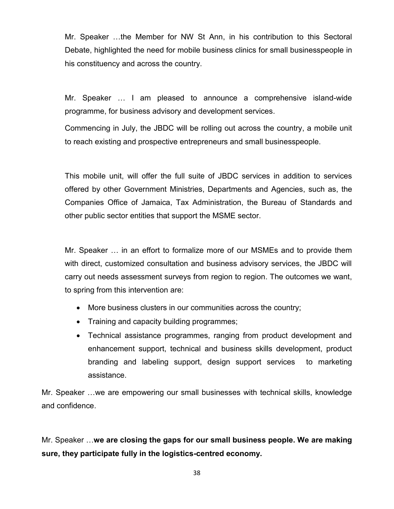Mr. Speaker …the Member for NW St Ann, in his contribution to this Sectoral Debate, highlighted the need for mobile business clinics for small businesspeople in his constituency and across the country.

Mr. Speaker … I am pleased to announce a comprehensive island-wide programme, for business advisory and development services.

Commencing in July, the JBDC will be rolling out across the country, a mobile unit to reach existing and prospective entrepreneurs and small businesspeople.

This mobile unit, will offer the full suite of JBDC services in addition to services offered by other Government Ministries, Departments and Agencies, such as, the Companies Office of Jamaica, Tax Administration, the Bureau of Standards and other public sector entities that support the MSME sector.

Mr. Speaker … in an effort to formalize more of our MSMEs and to provide them with direct, customized consultation and business advisory services, the JBDC will carry out needs assessment surveys from region to region. The outcomes we want, to spring from this intervention are:

- More business clusters in our communities across the country;
- Training and capacity building programmes;
- Technical assistance programmes, ranging from product development and enhancement support, technical and business skills development, product branding and labeling support, design support services to marketing assistance.

Mr. Speaker …we are empowering our small businesses with technical skills, knowledge and confidence.

Mr. Speaker …**we are closing the gaps for our small business people. We are making sure, they participate fully in the logistics-centred economy.**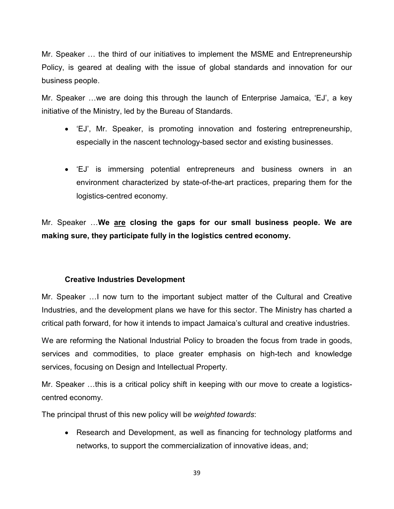Mr. Speaker … the third of our initiatives to implement the MSME and Entrepreneurship Policy, is geared at dealing with the issue of global standards and innovation for our business people.

Mr. Speaker …we are doing this through the launch of Enterprise Jamaica, 'EJ', a key initiative of the Ministry, led by the Bureau of Standards.

- 'EJ', Mr. Speaker, is promoting innovation and fostering entrepreneurship, especially in the nascent technology-based sector and existing businesses.
- 'EJ' is immersing potential entrepreneurs and business owners in an environment characterized by state-of-the-art practices, preparing them for the logistics-centred economy.

Mr. Speaker …**We are closing the gaps for our small business people. We are making sure, they participate fully in the logistics centred economy.**

#### **Creative Industries Development**

Mr. Speaker …I now turn to the important subject matter of the Cultural and Creative Industries, and the development plans we have for this sector. The Ministry has charted a critical path forward, for how it intends to impact Jamaica's cultural and creative industries.

We are reforming the National Industrial Policy to broaden the focus from trade in goods, services and commodities, to place greater emphasis on high-tech and knowledge services, focusing on Design and Intellectual Property.

Mr. Speaker …this is a critical policy shift in keeping with our move to create a logisticscentred economy.

The principal thrust of this new policy will b*e weighted towards*:

• Research and Development, as well as financing for technology platforms and networks, to support the commercialization of innovative ideas, and;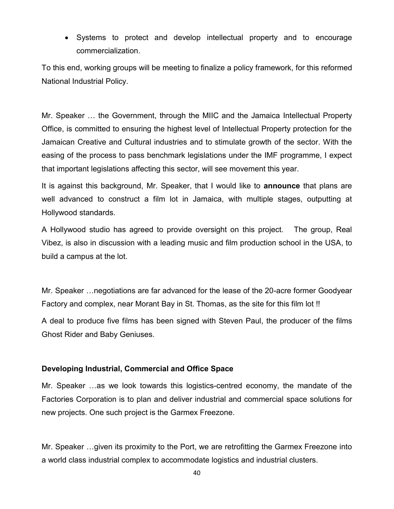Systems to protect and develop intellectual property and to encourage commercialization.

To this end, working groups will be meeting to finalize a policy framework, for this reformed National Industrial Policy.

Mr. Speaker … the Government, through the MIIC and the Jamaica Intellectual Property Office, is committed to ensuring the highest level of Intellectual Property protection for the Jamaican Creative and Cultural industries and to stimulate growth of the sector. With the easing of the process to pass benchmark legislations under the IMF programme, I expect that important legislations affecting this sector, will see movement this year.

It is against this background, Mr. Speaker, that I would like to **announce** that plans are well advanced to construct a film lot in Jamaica, with multiple stages, outputting at Hollywood standards.

A Hollywood studio has agreed to provide oversight on this project. The group, Real Vibez, is also in discussion with a leading music and film production school in the USA, to build a campus at the lot.

Mr. Speaker …negotiations are far advanced for the lease of the 20-acre former Goodyear Factory and complex, near Morant Bay in St. Thomas, as the site for this film lot !!

A deal to produce five films has been signed with Steven Paul, the producer of the films Ghost Rider and Baby Geniuses.

#### **Developing Industrial, Commercial and Office Space**

Mr. Speaker …as we look towards this logistics-centred economy, the mandate of the Factories Corporation is to plan and deliver industrial and commercial space solutions for new projects. One such project is the Garmex Freezone.

Mr. Speaker …given its proximity to the Port, we are retrofitting the Garmex Freezone into a world class industrial complex to accommodate logistics and industrial clusters.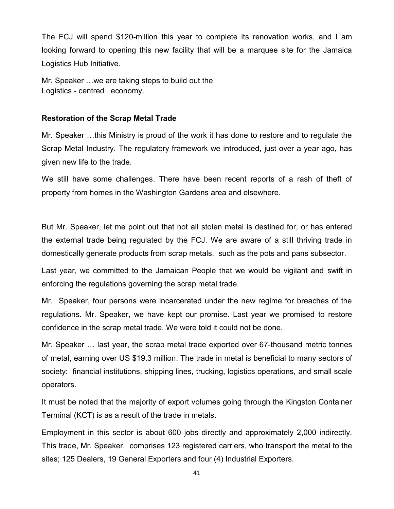The FCJ will spend \$120-million this year to complete its renovation works, and I am looking forward to opening this new facility that will be a marquee site for the Jamaica Logistics Hub Initiative.

Mr. Speaker …we are taking steps to build out the Logistics - centred economy.

#### **Restoration of the Scrap Metal Trade**

Mr. Speaker …this Ministry is proud of the work it has done to restore and to regulate the Scrap Metal Industry. The regulatory framework we introduced, just over a year ago, has given new life to the trade.

We still have some challenges. There have been recent reports of a rash of theft of property from homes in the Washington Gardens area and elsewhere.

But Mr. Speaker, let me point out that not all stolen metal is destined for, or has entered the external trade being regulated by the FCJ. We are aware of a still thriving trade in domestically generate products from scrap metals, such as the pots and pans subsector.

Last year, we committed to the Jamaican People that we would be vigilant and swift in enforcing the regulations governing the scrap metal trade.

Mr. Speaker, four persons were incarcerated under the new regime for breaches of the regulations. Mr. Speaker, we have kept our promise. Last year we promised to restore confidence in the scrap metal trade. We were told it could not be done.

Mr. Speaker … last year, the scrap metal trade exported over 67-thousand metric tonnes of metal, earning over US \$19.3 million. The trade in metal is beneficial to many sectors of society: financial institutions, shipping lines, trucking, logistics operations, and small scale operators.

It must be noted that the majority of export volumes going through the Kingston Container Terminal (KCT) is as a result of the trade in metals.

Employment in this sector is about 600 jobs directly and approximately 2,000 indirectly. This trade, Mr. Speaker, comprises 123 registered carriers, who transport the metal to the sites; 125 Dealers, 19 General Exporters and four (4) Industrial Exporters.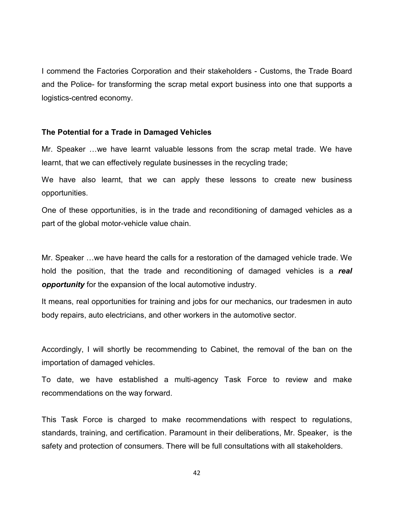I commend the Factories Corporation and their stakeholders - Customs, the Trade Board and the Police- for transforming the scrap metal export business into one that supports a logistics-centred economy.

#### **The Potential for a Trade in Damaged Vehicles**

Mr. Speaker …we have learnt valuable lessons from the scrap metal trade. We have learnt, that we can effectively regulate businesses in the recycling trade;

We have also learnt, that we can apply these lessons to create new business opportunities.

One of these opportunities, is in the trade and reconditioning of damaged vehicles as a part of the global motor-vehicle value chain.

Mr. Speaker …we have heard the calls for a restoration of the damaged vehicle trade. We hold the position, that the trade and reconditioning of damaged vehicles is a *real opportunity* for the expansion of the local automotive industry.

It means, real opportunities for training and jobs for our mechanics, our tradesmen in auto body repairs, auto electricians, and other workers in the automotive sector.

Accordingly, I will shortly be recommending to Cabinet, the removal of the ban on the importation of damaged vehicles.

To date, we have established a multi-agency Task Force to review and make recommendations on the way forward.

This Task Force is charged to make recommendations with respect to regulations, standards, training, and certification. Paramount in their deliberations, Mr. Speaker, is the safety and protection of consumers. There will be full consultations with all stakeholders.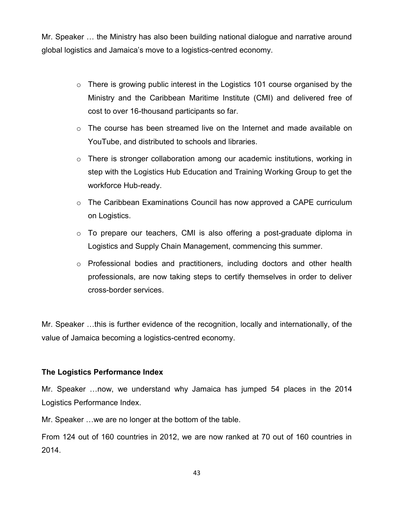Mr. Speaker … the Ministry has also been building national dialogue and narrative around global logistics and Jamaica's move to a logistics-centred economy.

- o There is growing public interest in the Logistics 101 course organised by the Ministry and the Caribbean Maritime Institute (CMI) and delivered free of cost to over 16-thousand participants so far.
- $\circ$  The course has been streamed live on the Internet and made available on YouTube, and distributed to schools and libraries.
- o There is stronger collaboration among our academic institutions, working in step with the Logistics Hub Education and Training Working Group to get the workforce Hub-ready.
- $\circ$  The Caribbean Examinations Council has now approved a CAPE curriculum on Logistics.
- o To prepare our teachers, CMI is also offering a post-graduate diploma in Logistics and Supply Chain Management, commencing this summer.
- o Professional bodies and practitioners, including doctors and other health professionals, are now taking steps to certify themselves in order to deliver cross-border services.

Mr. Speaker …this is further evidence of the recognition, locally and internationally, of the value of Jamaica becoming a logistics-centred economy.

#### **The Logistics Performance Index**

Mr. Speaker …now, we understand why Jamaica has jumped 54 places in the 2014 Logistics Performance Index.

Mr. Speaker …we are no longer at the bottom of the table.

From 124 out of 160 countries in 2012, we are now ranked at 70 out of 160 countries in 2014.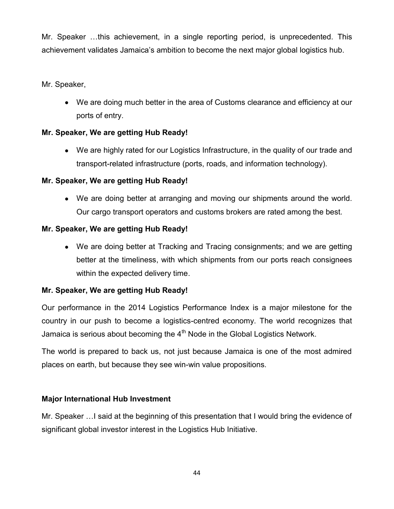Mr. Speaker …this achievement, in a single reporting period, is unprecedented. This achievement validates Jamaica's ambition to become the next major global logistics hub.

# Mr. Speaker,

 We are doing much better in the area of Customs clearance and efficiency at our ports of entry.

# **Mr. Speaker, We are getting Hub Ready!**

 We are highly rated for our Logistics Infrastructure, in the quality of our trade and transport-related infrastructure (ports, roads, and information technology).

# **Mr. Speaker, We are getting Hub Ready!**

 We are doing better at arranging and moving our shipments around the world. Our cargo transport operators and customs brokers are rated among the best.

## **Mr. Speaker, We are getting Hub Ready!**

 We are doing better at Tracking and Tracing consignments; and we are getting better at the timeliness, with which shipments from our ports reach consignees within the expected delivery time.

## **Mr. Speaker, We are getting Hub Ready!**

Our performance in the 2014 Logistics Performance Index is a major milestone for the country in our push to become a logistics-centred economy. The world recognizes that Jamaica is serious about becoming the  $4<sup>th</sup>$  Node in the Global Logistics Network.

The world is prepared to back us, not just because Jamaica is one of the most admired places on earth, but because they see win-win value propositions.

## **Major International Hub Investment**

Mr. Speaker …I said at the beginning of this presentation that I would bring the evidence of significant global investor interest in the Logistics Hub Initiative.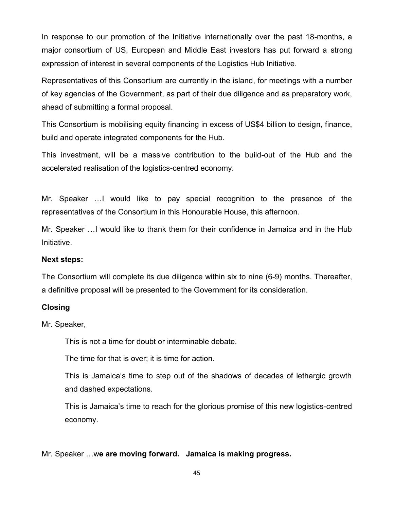In response to our promotion of the Initiative internationally over the past 18-months, a major consortium of US, European and Middle East investors has put forward a strong expression of interest in several components of the Logistics Hub Initiative.

Representatives of this Consortium are currently in the island, for meetings with a number of key agencies of the Government, as part of their due diligence and as preparatory work, ahead of submitting a formal proposal.

This Consortium is mobilising equity financing in excess of US\$4 billion to design, finance, build and operate integrated components for the Hub.

This investment, will be a massive contribution to the build-out of the Hub and the accelerated realisation of the logistics-centred economy.

Mr. Speaker …I would like to pay special recognition to the presence of the representatives of the Consortium in this Honourable House, this afternoon.

Mr. Speaker …I would like to thank them for their confidence in Jamaica and in the Hub Initiative.

#### **Next steps:**

The Consortium will complete its due diligence within six to nine (6-9) months. Thereafter, a definitive proposal will be presented to the Government for its consideration.

#### **Closing**

Mr. Speaker,

This is not a time for doubt or interminable debate.

The time for that is over; it is time for action.

This is Jamaica's time to step out of the shadows of decades of lethargic growth and dashed expectations.

This is Jamaica's time to reach for the glorious promise of this new logistics-centred economy.

Mr. Speaker …w**e are moving forward. Jamaica is making progress.**